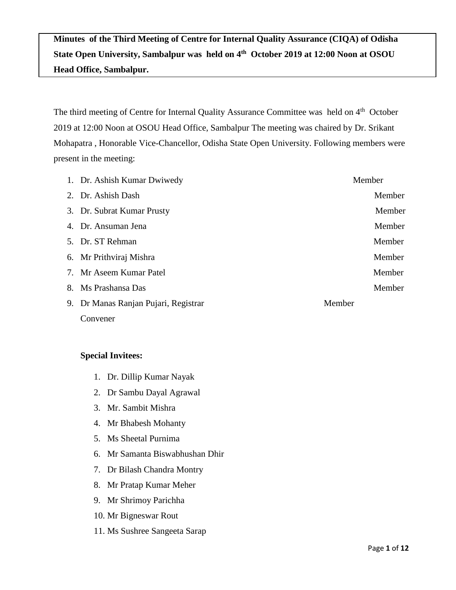**Minutes of the Third Meeting of Centre for Internal Quality Assurance (CIQA) of Odisha State Open University, Sambalpur was held on 4th October 2019 at 12:00 Noon at OSOU Head Office, Sambalpur.**

The third meeting of Centre for Internal Quality Assurance Committee was held on 4<sup>th</sup> October 2019 at 12:00 Noon at OSOU Head Office, Sambalpur The meeting was chaired by Dr. Srikant Mohapatra , Honorable Vice-Chancellor, Odisha State Open University. Following members were present in the meeting:

| 1. Dr. Ashish Kumar Dwiwedy          | Member |
|--------------------------------------|--------|
| 2. Dr. Ashish Dash                   | Member |
| 3. Dr. Subrat Kumar Prusty           | Member |
| 4. Dr. Ansuman Jena                  | Member |
| 5. Dr. ST Rehman                     | Member |
| 6. Mr Prithviraj Mishra              | Member |
| 7. Mr Aseem Kumar Patel              | Member |
| 8. Ms Prashansa Das                  | Member |
| 9. Dr Manas Ranjan Pujari, Registrar | Member |
| Convener                             |        |

### **Special Invitees:**

- 1. Dr. Dillip Kumar Nayak
- 2. Dr Sambu Dayal Agrawal
- 3. Mr. Sambit Mishra
- 4. Mr Bhabesh Mohanty
- 5. Ms Sheetal Purnima
- 6. Mr Samanta Biswabhushan Dhir
- 7. Dr Bilash Chandra Montry
- 8. Mr Pratap Kumar Meher
- 9. Mr Shrimoy Parichha
- 10. Mr Bigneswar Rout
- 11. Ms Sushree Sangeeta Sarap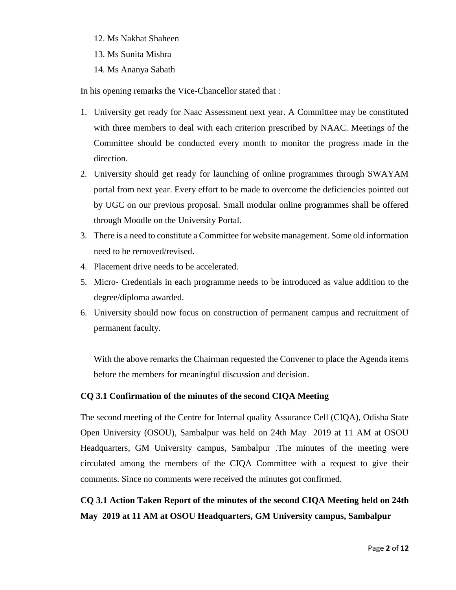- 12. Ms Nakhat Shaheen
- 13. Ms Sunita Mishra
- 14. Ms Ananya Sabath

In his opening remarks the Vice-Chancellor stated that :

- 1. University get ready for Naac Assessment next year. A Committee may be constituted with three members to deal with each criterion prescribed by NAAC. Meetings of the Committee should be conducted every month to monitor the progress made in the direction.
- 2. University should get ready for launching of online programmes through SWAYAM portal from next year. Every effort to be made to overcome the deficiencies pointed out by UGC on our previous proposal. Small modular online programmes shall be offered through Moodle on the University Portal.
- 3. There is a need to constitute a Committee for website management. Some old information need to be removed/revised.
- 4. Placement drive needs to be accelerated.
- 5. Micro- Credentials in each programme needs to be introduced as value addition to the degree/diploma awarded.
- 6. University should now focus on construction of permanent campus and recruitment of permanent faculty.

With the above remarks the Chairman requested the Convener to place the Agenda items before the members for meaningful discussion and decision.

### **CQ 3.1 Confirmation of the minutes of the second CIQA Meeting**

The second meeting of the Centre for Internal quality Assurance Cell (CIQA), Odisha State Open University (OSOU), Sambalpur was held on 24th May 2019 at 11 AM at OSOU Headquarters, GM University campus, Sambalpur .The minutes of the meeting were circulated among the members of the CIQA Committee with a request to give their comments. Since no comments were received the minutes got confirmed.

**CQ 3.1 Action Taken Report of the minutes of the second CIQA Meeting held on 24th May 2019 at 11 AM at OSOU Headquarters, GM University campus, Sambalpur**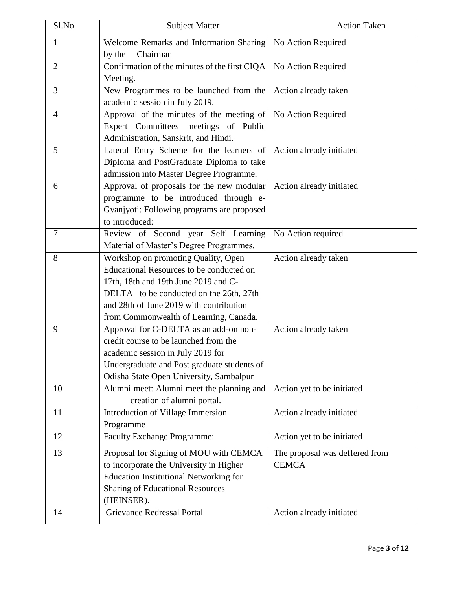| Sl.No.         | <b>Subject Matter</b>                         | <b>Action Taken</b>            |
|----------------|-----------------------------------------------|--------------------------------|
| $\mathbf{1}$   | Welcome Remarks and Information Sharing       | No Action Required             |
|                | Chairman<br>by the                            |                                |
| $\overline{2}$ | Confirmation of the minutes of the first CIQA | No Action Required             |
|                | Meeting.                                      |                                |
| 3              | New Programmes to be launched from the        | Action already taken           |
|                | academic session in July 2019.                |                                |
| $\overline{4}$ | Approval of the minutes of the meeting of     | No Action Required             |
|                | Expert Committees meetings of Public          |                                |
|                | Administration, Sanskrit, and Hindi.          |                                |
| 5              | Lateral Entry Scheme for the learners of      | Action already initiated       |
|                | Diploma and PostGraduate Diploma to take      |                                |
|                | admission into Master Degree Programme.       |                                |
| 6              | Approval of proposals for the new modular     | Action already initiated       |
|                | programme to be introduced through e-         |                                |
|                | Gyanjyoti: Following programs are proposed    |                                |
|                | to introduced:                                |                                |
| 7              | Review of Second year Self Learning           | No Action required             |
|                | Material of Master's Degree Programmes.       |                                |
| 8              | Workshop on promoting Quality, Open           | Action already taken           |
|                | Educational Resources to be conducted on      |                                |
|                | 17th, 18th and 19th June 2019 and C-          |                                |
|                | DELTA to be conducted on the 26th, 27th       |                                |
|                | and 28th of June 2019 with contribution       |                                |
|                | from Commonwealth of Learning, Canada.        |                                |
| 9              | Approval for C-DELTA as an add-on non-        | Action already taken           |
|                | credit course to be launched from the         |                                |
|                | academic session in July 2019 for             |                                |
|                | Undergraduate and Post graduate students of   |                                |
|                | Odisha State Open University, Sambalpur       |                                |
| 10             | Alumni meet: Alumni meet the planning and     | Action yet to be initiated     |
|                | creation of alumni portal.                    |                                |
| 11             | Introduction of Village Immersion             | Action already initiated       |
|                | Programme                                     |                                |
| 12             | <b>Faculty Exchange Programme:</b>            | Action yet to be initiated     |
| 13             | Proposal for Signing of MOU with CEMCA        | The proposal was deffered from |
|                | to incorporate the University in Higher       | <b>CEMCA</b>                   |
|                | <b>Education Institutional Networking for</b> |                                |
|                | <b>Sharing of Educational Resources</b>       |                                |
|                | (HEINSER).                                    |                                |
| 14             | <b>Grievance Redressal Portal</b>             | Action already initiated       |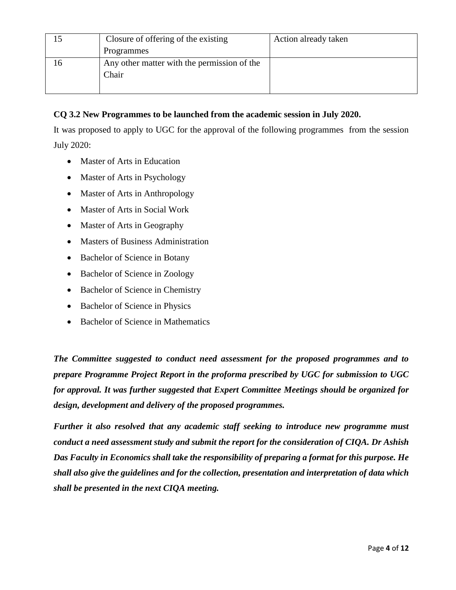|    | Closure of offering of the existing         | Action already taken |
|----|---------------------------------------------|----------------------|
|    | Programmes                                  |                      |
| 16 | Any other matter with the permission of the |                      |
|    | Chair                                       |                      |
|    |                                             |                      |

## **CQ 3.2 New Programmes to be launched from the academic session in July 2020.**

It was proposed to apply to UGC for the approval of the following programmes from the session July 2020:

- Master of Arts in Education
- Master of Arts in Psychology
- Master of Arts in Anthropology
- Master of Arts in Social Work
- Master of Arts in Geography
- Masters of Business Administration
- Bachelor of Science in Botany
- Bachelor of Science in Zoology
- Bachelor of Science in Chemistry
- Bachelor of Science in Physics
- Bachelor of Science in Mathematics

*The Committee suggested to conduct need assessment for the proposed programmes and to prepare Programme Project Report in the proforma prescribed by UGC for submission to UGC for approval. It was further suggested that Expert Committee Meetings should be organized for design, development and delivery of the proposed programmes.*

*Further it also resolved that any academic staff seeking to introduce new programme must conduct a need assessment study and submit the report for the consideration of CIQA. Dr Ashish Das Faculty in Economics shall take the responsibility of preparing a format for this purpose. He shall also give the guidelines and for the collection, presentation and interpretation of data which shall be presented in the next CIQA meeting.*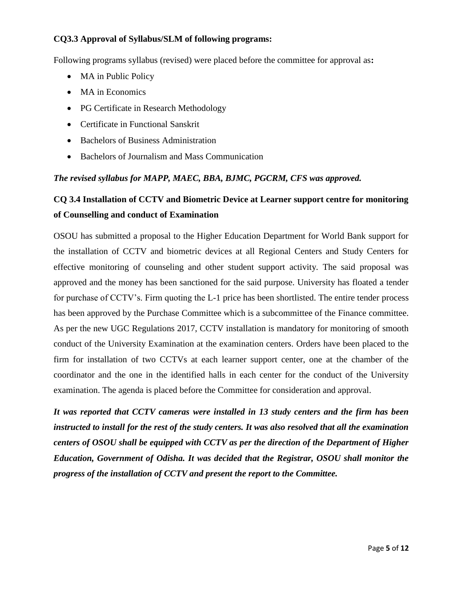## **CQ3.3 Approval of Syllabus/SLM of following programs:**

Following programs syllabus (revised) were placed before the committee for approval as**:**

- MA in Public Policy
- MA in Economics
- PG Certificate in Research Methodology
- Certificate in Functional Sanskrit
- Bachelors of Business Administration
- Bachelors of Journalism and Mass Communication

## *The revised syllabus for MAPP, MAEC, BBA, BJMC, PGCRM, CFS was approved.*

# **CQ 3.4 Installation of CCTV and Biometric Device at Learner support centre for monitoring of Counselling and conduct of Examination**

OSOU has submitted a proposal to the Higher Education Department for World Bank support for the installation of CCTV and biometric devices at all Regional Centers and Study Centers for effective monitoring of counseling and other student support activity. The said proposal was approved and the money has been sanctioned for the said purpose. University has floated a tender for purchase of CCTV's. Firm quoting the L-1 price has been shortlisted. The entire tender process has been approved by the Purchase Committee which is a subcommittee of the Finance committee. As per the new UGC Regulations 2017, CCTV installation is mandatory for monitoring of smooth conduct of the University Examination at the examination centers. Orders have been placed to the firm for installation of two CCTVs at each learner support center, one at the chamber of the coordinator and the one in the identified halls in each center for the conduct of the University examination. The agenda is placed before the Committee for consideration and approval.

*It was reported that CCTV cameras were installed in 13 study centers and the firm has been instructed to install for the rest of the study centers. It was also resolved that all the examination centers of OSOU shall be equipped with CCTV as per the direction of the Department of Higher Education, Government of Odisha. It was decided that the Registrar, OSOU shall monitor the progress of the installation of CCTV and present the report to the Committee.*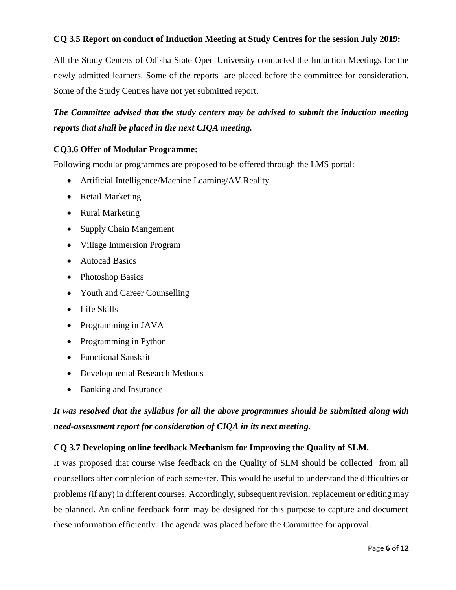## **CQ 3.5 Report on conduct of Induction Meeting at Study Centres for the session July 2019:**

All the Study Centers of Odisha State Open University conducted the Induction Meetings for the newly admitted learners. Some of the reports are placed before the committee for consideration. Some of the Study Centres have not yet submitted report.

## *The Committee advised that the study centers may be advised to submit the induction meeting reports that shall be placed in the next CIQA meeting.*

#### **CQ3.6 Offer of Modular Programme:**

Following modular programmes are proposed to be offered through the LMS portal:

- Artificial Intelligence/Machine Learning/AV Reality
- Retail Marketing
- Rural Marketing
- Supply Chain Mangement
- Village Immersion Program
- Autocad Basics
- Photoshop Basics
- Youth and Career Counselling
- Life Skills
- Programming in JAVA
- Programming in Python
- Functional Sanskrit
- Developmental Research Methods
- Banking and Insurance

## *It was resolved that the syllabus for all the above programmes should be submitted along with need-assessment report for consideration of CIQA in its next meeting.*

#### **CQ 3.7 Developing online feedback Mechanism for Improving the Quality of SLM.**

It was proposed that course wise feedback on the Quality of SLM should be collected from all counsellors after completion of each semester. This would be useful to understand the difficulties or problems (if any) in different courses. Accordingly, subsequent revision, replacement or editing may be planned. An online feedback form may be designed for this purpose to capture and document these information efficiently. The agenda was placed before the Committee for approval.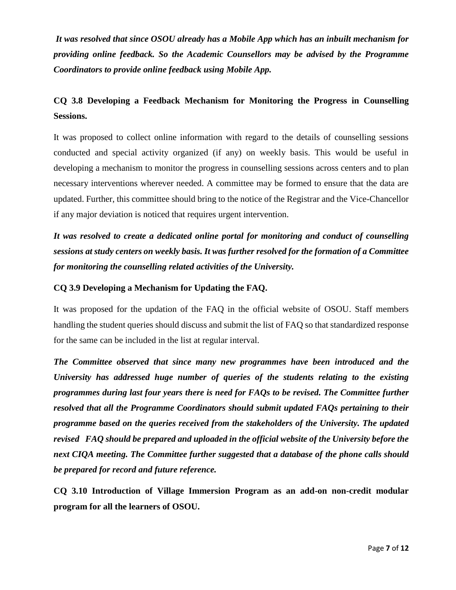*It was resolved that since OSOU already has a Mobile App which has an inbuilt mechanism for providing online feedback. So the Academic Counsellors may be advised by the Programme Coordinators to provide online feedback using Mobile App.*

# **CQ 3.8 Developing a Feedback Mechanism for Monitoring the Progress in Counselling Sessions.**

It was proposed to collect online information with regard to the details of counselling sessions conducted and special activity organized (if any) on weekly basis. This would be useful in developing a mechanism to monitor the progress in counselling sessions across centers and to plan necessary interventions wherever needed. A committee may be formed to ensure that the data are updated. Further, this committee should bring to the notice of the Registrar and the Vice-Chancellor if any major deviation is noticed that requires urgent intervention.

*It was resolved to create a dedicated online portal for monitoring and conduct of counselling sessions at study centers on weekly basis. It was further resolved for the formation of a Committee for monitoring the counselling related activities of the University.* 

## **CQ 3.9 Developing a Mechanism for Updating the FAQ.**

It was proposed for the updation of the FAQ in the official website of OSOU. Staff members handling the student queries should discuss and submit the list of FAQ so that standardized response for the same can be included in the list at regular interval.

*The Committee observed that since many new programmes have been introduced and the University has addressed huge number of queries of the students relating to the existing programmes during last four years there is need for FAQs to be revised. The Committee further resolved that all the Programme Coordinators should submit updated FAQs pertaining to their programme based on the queries received from the stakeholders of the University. The updated revised FAQ should be prepared and uploaded in the official website of the University before the next CIQA meeting. The Committee further suggested that a database of the phone calls should be prepared for record and future reference.*

**CQ 3.10 Introduction of Village Immersion Program as an add-on non-credit modular program for all the learners of OSOU.**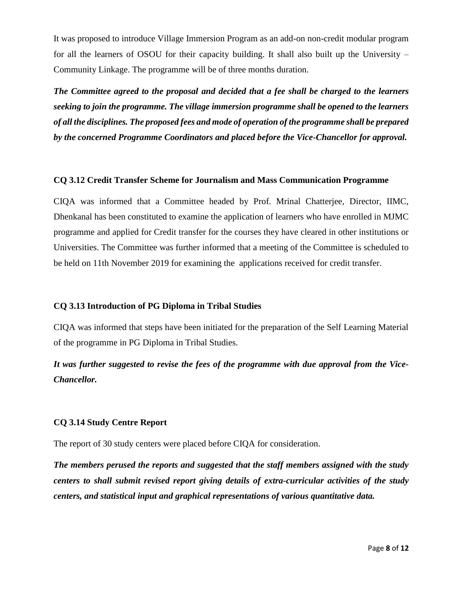It was proposed to introduce Village Immersion Program as an add-on non-credit modular program for all the learners of OSOU for their capacity building. It shall also built up the University – Community Linkage. The programme will be of three months duration.

*The Committee agreed to the proposal and decided that a fee shall be charged to the learners seeking to join the programme. The village immersion programme shall be opened to the learners of all the disciplines. The proposed fees and mode of operation of the programme shall be prepared by the concerned Programme Coordinators and placed before the Vice-Chancellor for approval.*

#### **CQ 3.12 Credit Transfer Scheme for Journalism and Mass Communication Programme**

CIQA was informed that a Committee headed by Prof. Mrinal Chatterjee, Director, IIMC, Dhenkanal has been constituted to examine the application of learners who have enrolled in MJMC programme and applied for Credit transfer for the courses they have cleared in other institutions or Universities. The Committee was further informed that a meeting of the Committee is scheduled to be held on 11th November 2019 for examining the applications received for credit transfer.

### **CQ 3.13 Introduction of PG Diploma in Tribal Studies**

CIQA was informed that steps have been initiated for the preparation of the Self Learning Material of the programme in PG Diploma in Tribal Studies.

*It was further suggested to revise the fees of the programme with due approval from the Vice-Chancellor.*

### **CQ 3.14 Study Centre Report**

The report of 30 study centers were placed before CIQA for consideration.

*The members perused the reports and suggested that the staff members assigned with the study centers to shall submit revised report giving details of extra-curricular activities of the study centers, and statistical input and graphical representations of various quantitative data.*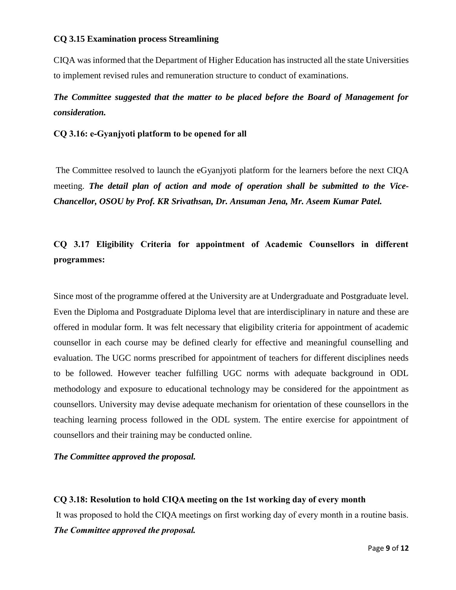### **CQ 3.15 Examination process Streamlining**

CIQA was informed that the Department of Higher Education has instructed all the state Universities to implement revised rules and remuneration structure to conduct of examinations.

# *The Committee suggested that the matter to be placed before the Board of Management for consideration.*

### **CQ 3.16: e-Gyanjyoti platform to be opened for all**

The Committee resolved to launch the eGyanjyoti platform for the learners before the next CIQA meeting. *The detail plan of action and mode of operation shall be submitted to the Vice-Chancellor, OSOU by Prof. KR Srivathsan, Dr. Ansuman Jena, Mr. Aseem Kumar Patel.*

# **CQ 3.17 Eligibility Criteria for appointment of Academic Counsellors in different programmes:**

Since most of the programme offered at the University are at Undergraduate and Postgraduate level. Even the Diploma and Postgraduate Diploma level that are interdisciplinary in nature and these are offered in modular form. It was felt necessary that eligibility criteria for appointment of academic counsellor in each course may be defined clearly for effective and meaningful counselling and evaluation. The UGC norms prescribed for appointment of teachers for different disciplines needs to be followed. However teacher fulfilling UGC norms with adequate background in ODL methodology and exposure to educational technology may be considered for the appointment as counsellors. University may devise adequate mechanism for orientation of these counsellors in the teaching learning process followed in the ODL system. The entire exercise for appointment of counsellors and their training may be conducted online.

### *The Committee approved the proposal.*

## **CQ 3.18: Resolution to hold CIQA meeting on the 1st working day of every month**

It was proposed to hold the CIQA meetings on first working day of every month in a routine basis. *The Committee approved the proposal.*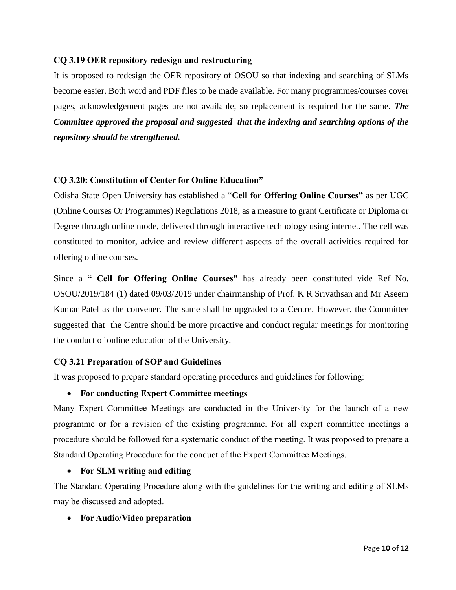## **CQ 3.19 OER repository redesign and restructuring**

It is proposed to redesign the OER repository of OSOU so that indexing and searching of SLMs become easier. Both word and PDF files to be made available. For many programmes/courses cover pages, acknowledgement pages are not available, so replacement is required for the same. *The Committee approved the proposal and suggested that the indexing and searching options of the repository should be strengthened.*

## **CQ 3.20: Constitution of Center for Online Education"**

Odisha State Open University has established a "**Cell for Offering Online Courses"** as per UGC (Online Courses Or Programmes) Regulations 2018, as a measure to grant Certificate or Diploma or Degree through online mode, delivered through interactive technology using internet. The cell was constituted to monitor, advice and review different aspects of the overall activities required for offering online courses.

Since a **" Cell for Offering Online Courses"** has already been constituted vide Ref No. OSOU/2019/184 (1) dated 09/03/2019 under chairmanship of Prof. K R Srivathsan and Mr Aseem Kumar Patel as the convener. The same shall be upgraded to a Centre. However, the Committee suggested that the Centre should be more proactive and conduct regular meetings for monitoring the conduct of online education of the University.

### **CQ 3.21 Preparation of SOP and Guidelines**

It was proposed to prepare standard operating procedures and guidelines for following:

### **For conducting Expert Committee meetings**

Many Expert Committee Meetings are conducted in the University for the launch of a new programme or for a revision of the existing programme. For all expert committee meetings a procedure should be followed for a systematic conduct of the meeting. It was proposed to prepare a Standard Operating Procedure for the conduct of the Expert Committee Meetings.

## **For SLM writing and editing**

The Standard Operating Procedure along with the guidelines for the writing and editing of SLMs may be discussed and adopted.

**For Audio/Video preparation**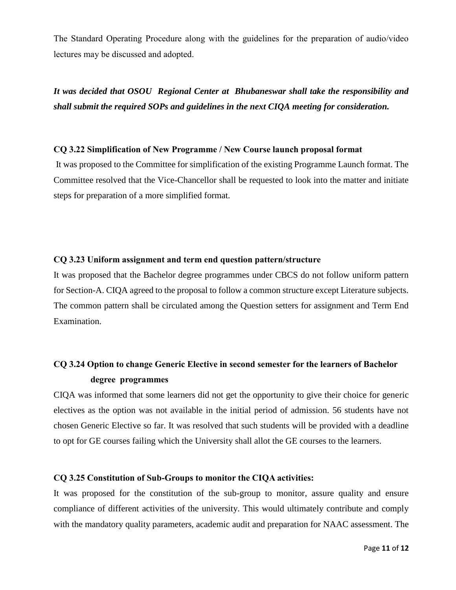The Standard Operating Procedure along with the guidelines for the preparation of audio/video lectures may be discussed and adopted.

*It was decided that OSOU Regional Center at Bhubaneswar shall take the responsibility and shall submit the required SOPs and guidelines in the next CIQA meeting for consideration.*

#### **CQ 3.22 Simplification of New Programme / New Course launch proposal format**

It was proposed to the Committee for simplification of the existing Programme Launch format. The Committee resolved that the Vice-Chancellor shall be requested to look into the matter and initiate steps for preparation of a more simplified format.

#### **CQ 3.23 Uniform assignment and term end question pattern/structure**

It was proposed that the Bachelor degree programmes under CBCS do not follow uniform pattern for Section-A. CIQA agreed to the proposal to follow a common structure except Literature subjects. The common pattern shall be circulated among the Question setters for assignment and Term End Examination.

## **CQ 3.24 Option to change Generic Elective in second semester for the learners of Bachelor degree programmes**

CIQA was informed that some learners did not get the opportunity to give their choice for generic electives as the option was not available in the initial period of admission. 56 students have not chosen Generic Elective so far. It was resolved that such students will be provided with a deadline to opt for GE courses failing which the University shall allot the GE courses to the learners.

#### **CQ 3.25 Constitution of Sub-Groups to monitor the CIQA activities:**

It was proposed for the constitution of the sub-group to monitor, assure quality and ensure compliance of different activities of the university. This would ultimately contribute and comply with the mandatory quality parameters, academic audit and preparation for NAAC assessment. The